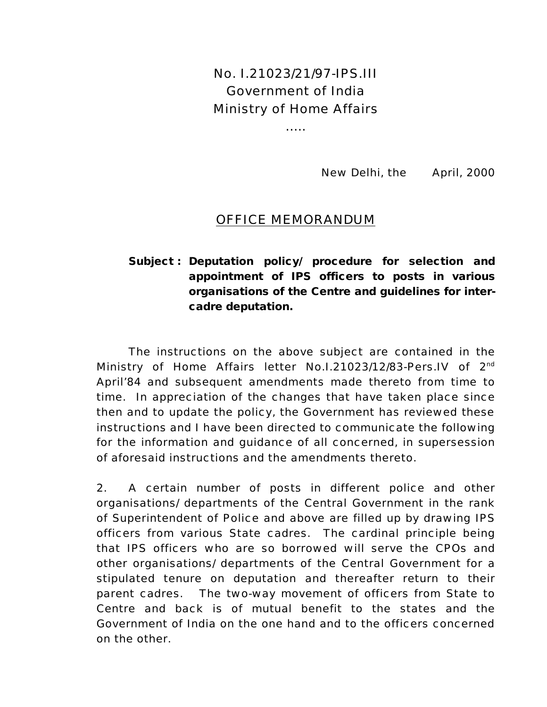No. I.21023/21/97-IPS.III Government of India Ministry of Home Affairs

… ..

New Delhi, the April, 2000

#### OFFICE MEMORANDUM

### **Subject : Deputation policy/ procedure for selection and appointment of IPS officers to posts in various organisations of the Centre and guidelines for intercadre deputation.**

The instructions on the above subject are contained in the Ministry of Home Affairs letter No.1.21023/12/83-Pers.IV of 2<sup>nd</sup> April'84 and subsequent amendments made thereto from time to time. In appreciation of the changes that have taken place since then and to update the policy, the Government has reviewed these instructions and I have been directed to communicate the following for the information and guidance of all concerned, in supersession of aforesaid instructions and the amendments thereto.

2. A certain number of posts in different police and other organisations/ departments of the Central Government in the rank of Superintendent of Police and above are filled up by drawing IPS officers from various State cadres. The cardinal principle being that IPS officers who are so borrowed will serve the CPOs and other organisations/ departments of the Central Government for a stipulated tenure on deputation and thereafter return to their parent cadres. The two-way movement of officers from State to Centre and back is of mutual benefit to the states and the Government of India on the one hand and to the officers concerned on the other.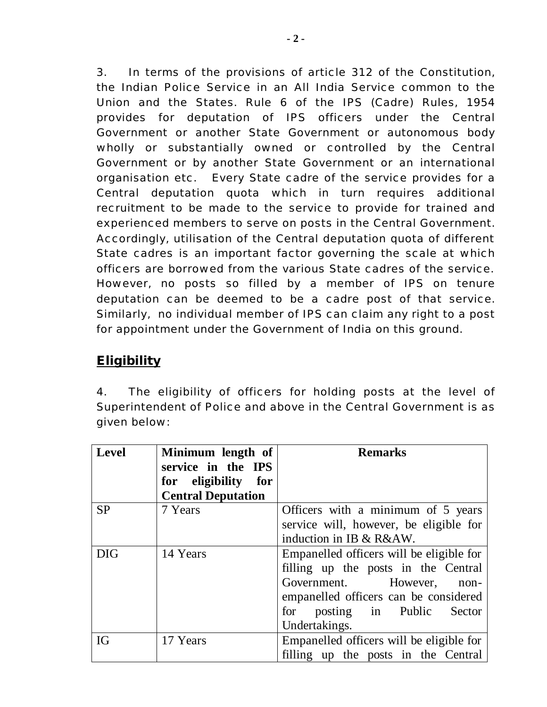3. In terms of the provisions of article 312 of the Constitution, the Indian Police Service in an All India Service common to the Union and the States. Rule 6 of the IPS (Cadre) Rules, 1954 provides for deputation of IPS officers under the Central Government or another State Government or autonomous body wholly or substantially owned or controlled by the Central Government or by another State Government or an international organisation etc. Every State cadre of the service provides for a Central deputation quota which in turn requires additional recruitment to be made to the service to provide for trained and experienced members to serve on posts in the Central Government. Accordingly, utilisation of the Central deputation quota of different State cadres is an important factor governing the scale at which officers are borrowed from the various State cadres of the service. However, no posts so filled by a member of IPS on tenure deputation can be deemed to be a cadre post of that service. Similarly, no individual member of IPS can claim any right to a post for appointment under the Government of India on this ground.

## *Eligibility*

4. The eligibility of officers for holding posts at the level of Superintendent of Police and above in the Central Government is as given below:

| <b>Level</b> | Minimum length of         | <b>Remarks</b>                           |  |  |
|--------------|---------------------------|------------------------------------------|--|--|
|              | service in the IPS        |                                          |  |  |
|              | for eligibility for       |                                          |  |  |
|              | <b>Central Deputation</b> |                                          |  |  |
| <b>SP</b>    | 7 Years                   | Officers with a minimum of 5 years       |  |  |
|              |                           | service will, however, be eligible for   |  |  |
|              |                           | induction in IB & R&AW.                  |  |  |
| <b>DIG</b>   | 14 Years                  | Empanelled officers will be eligible for |  |  |
|              |                           | filling up the posts in the Central      |  |  |
|              |                           | Government.<br>However,<br>non-          |  |  |
|              |                           | empanelled officers can be considered    |  |  |
|              |                           | posting in Public<br>for<br>Sector       |  |  |
|              |                           | Undertakings.                            |  |  |
| IG           | 17 Years                  | Empanelled officers will be eligible for |  |  |
|              |                           | filling up the posts in the Central      |  |  |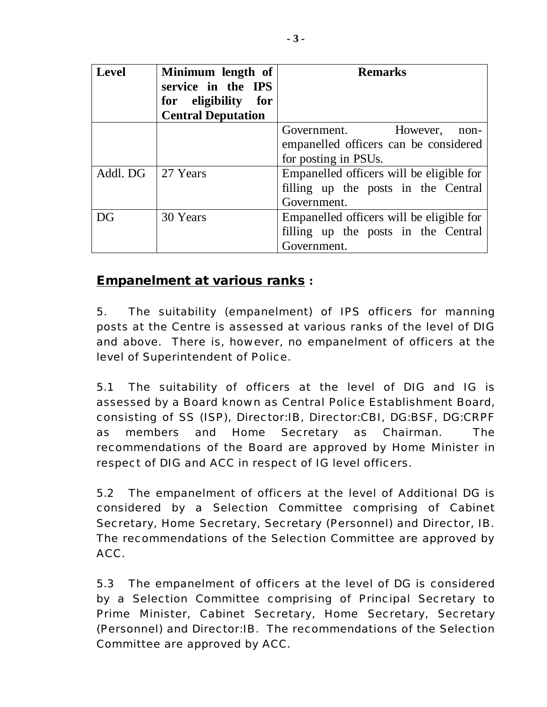| <b>Level</b>        | Minimum length of<br>service in the IPS | <b>Remarks</b>                           |  |  |
|---------------------|-----------------------------------------|------------------------------------------|--|--|
|                     | for eligibility for                     |                                          |  |  |
|                     | <b>Central Deputation</b>               |                                          |  |  |
|                     |                                         | However,<br>Government.<br>non-          |  |  |
|                     |                                         | empanelled officers can be considered    |  |  |
|                     |                                         | for posting in PSUs.                     |  |  |
| Addl. DG   27 Years |                                         | Empanelled officers will be eligible for |  |  |
|                     |                                         | filling up the posts in the Central      |  |  |
|                     |                                         | Government.                              |  |  |
| DG                  | 30 Years                                | Empanelled officers will be eligible for |  |  |
|                     |                                         | filling up the posts in the Central      |  |  |
|                     |                                         | Government.                              |  |  |

## *Empanelment at various ranks* **:**

5. The suitability (empanelment) of IPS officers for manning posts at the Centre is assessed at various ranks of the level of DIG and above. There is, however, no empanelment of officers at the level of Superintendent of Police.

5.1 The suitability of officers at the level of DIG and IG is assessed by a Board known as Central Police Establishment Board, consisting of SS (ISP), Director:IB, Director:CBI, DG:BSF, DG:CRPF as members and Home Secretary as Chairman. The recommendations of the Board are approved by Home Minister in respect of DIG and ACC in respect of IG level officers.

5.2 The empanelment of officers at the level of Additional DG is considered by a Selection Committee comprising of Cabinet Secretary, Home Secretary, Secretary (Personnel) and Director, IB. The recommendations of the Selection Committee are approved by ACC.

5.3 The empanelment of officers at the level of DG is considered by a Selection Committee comprising of Principal Secretary to Prime Minister, Cabinet Secretary, Home Secretary, Secretary (Personnel) and Director:IB. The recommendations of the Selection Committee are approved by ACC.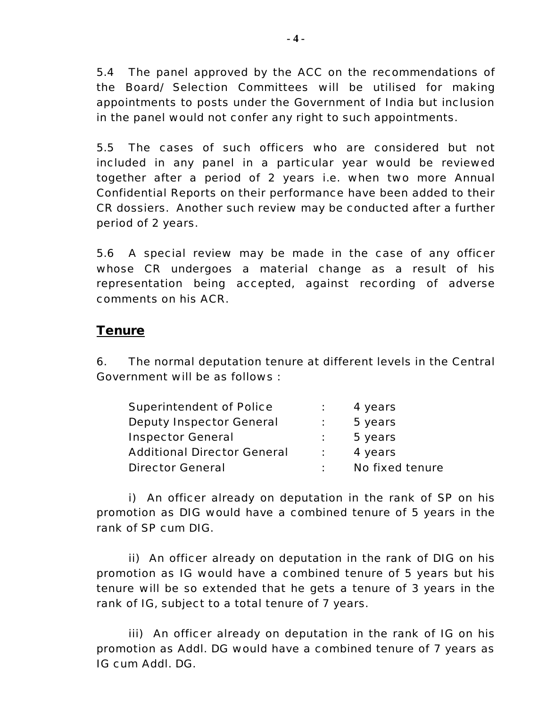5.4 The panel approved by the ACC on the recommendations of the Board/ Selection Committees will be utilised for making appointments to posts under the Government of India but inclusion in the panel would not confer any right to such appointments.

5.5 The cases of such officers who are considered but not included in any panel in a particular year would be reviewed together after a period of 2 years i.e. when two more Annual Confidential Reports on their performance have been added to their CR dossiers. Another such review may be conducted after a further period of 2 years.

5.6 A special review may be made in the case of any officer whose CR undergoes a material change as a result of his representation being accepted, against recording of adverse comments on his ACR.

#### *Tenure*

6. The normal deputation tenure at different levels in the Central Government will be as follows :

| Superintendent of Police           | 4 years         |
|------------------------------------|-----------------|
| <b>Deputy Inspector General</b>    | 5 years         |
| <b>Inspector General</b>           | 5 years         |
| <b>Additional Director General</b> | 4 years         |
| <b>Director General</b>            | No fixed tenure |

i) An officer already on deputation in the rank of SP on his promotion as DIG would have a combined tenure of 5 years in the rank of SP cum DIG.

ii) An officer already on deputation in the rank of DIG on his promotion as IG would have a combined tenure of 5 years but his tenure will be so extended that he gets a tenure of 3 years in the rank of IG, subject to a total tenure of 7 years.

iii) An officer already on deputation in the rank of IG on his promotion as Addl. DG would have a combined tenure of 7 years as IG cum Addl. DG.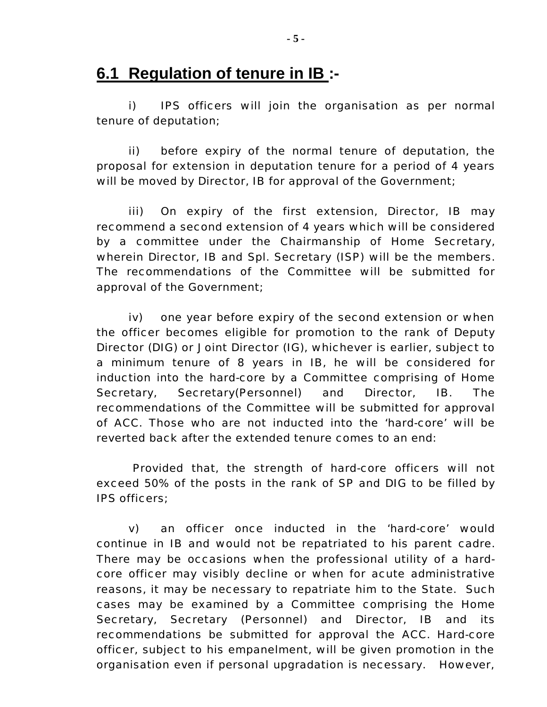## **6.1 Regulation of tenure in IB :-**

i) IPS officers will join the organisation as per normal tenure of deputation;

ii) before expiry of the normal tenure of deputation, the proposal for extension in deputation tenure for a period of 4 years will be moved by Director, IB for approval of the Government;

iii) On expiry of the first extension, Director, IB may recommend a second extension of 4 years which will be considered by a committee under the Chairmanship of Home Secretary, wherein Director, IB and Spl. Secretary (ISP) will be the members. The recommendations of the Committee will be submitted for approval of the Government;

iv) one year before expiry of the second extension or when the officer becomes eligible for promotion to the rank of Deputy Director (DIG) or Joint Director (IG), whichever is earlier, subject to a minimum tenure of 8 years in IB, he will be considered for induction into the hard-core by a Committee comprising of Home Secretary, Secretary(Personnel) and Director, IB. The recommendations of the Committee will be submitted for approval of ACC. Those who are not inducted into the 'hard-core' will be reverted back after the extended tenure comes to an end:

Provided that, the strength of hard-core officers will not exceed 50% of the posts in the rank of SP and DIG to be filled by IPS officers;

v) an officer once inducted in the 'hard-core' would continue in IB and would not be repatriated to his parent cadre. There may be occasions when the professional utility of a hardcore officer may visibly decline or when for acute administrative reasons, it may be necessary to repatriate him to the State. Such cases may be examined by a Committee comprising the Home Secretary, Secretary (Personnel) and Director, IB and its recommendations be submitted for approval the ACC. Hard-core officer, subject to his empanelment, will be given promotion in the organisation even if personal upgradation is necessary. However,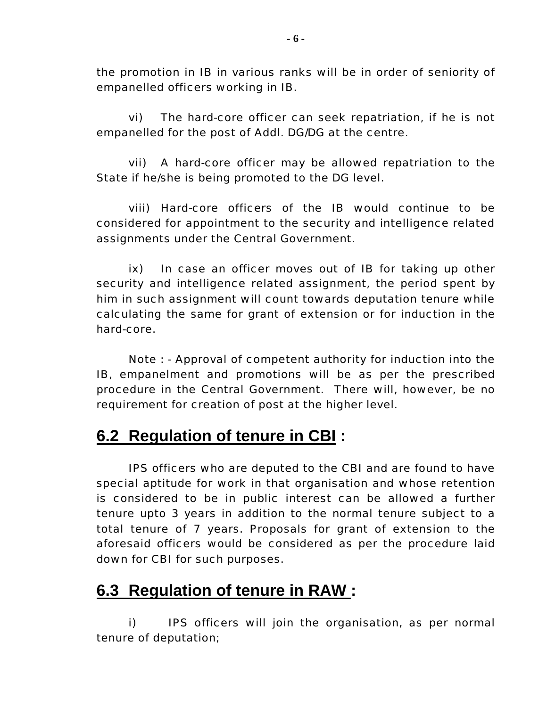the promotion in IB in various ranks will be in order of seniority of empanelled officers working in IB.

vi) The hard-core officer can seek repatriation, if he is not empanelled for the post of Addl. DG/DG at the centre.

vii) A hard-core officer may be allowed repatriation to the State if he/she is being promoted to the DG level.

viii) Hard-core officers of the IB would continue to be considered for appointment to the security and intelligence related assignments under the Central Government.

ix) In case an officer moves out of IB for taking up other security and intelligence related assignment, the period spent by him in such assignment will count towards deputation tenure while calculating the same for grant of extension or for induction in the hard-core.

Note : - Approval of competent authority for induction into the IB, empanelment and promotions will be as per the prescribed procedure in the Central Government. There will, however, be no requirement for creation of post at the higher level.

# **6.2 Regulation of tenure in CBI :**

IPS officers who are deputed to the CBI and are found to have special aptitude for work in that organisation and whose retention is considered to be in public interest can be allowed a further tenure upto 3 years in addition to the normal tenure subject to a total tenure of 7 years. Proposals for grant of extension to the aforesaid officers would be considered as per the procedure laid down for CBI for such purposes.

# **6.3 Regulation of tenure in RAW :**

i) IPS officers will join the organisation, as per normal tenure of deputation;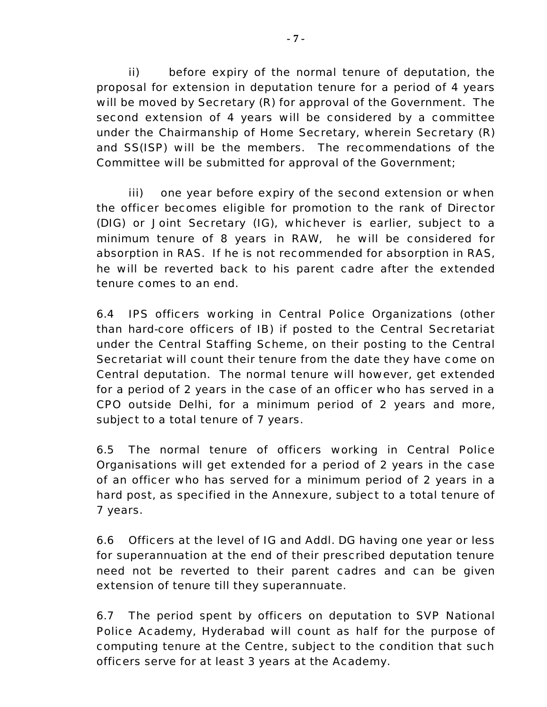ii) before expiry of the normal tenure of deputation, the proposal for extension in deputation tenure for a period of 4 years will be moved by Secretary (R) for approval of the Government. The second extension of 4 years will be considered by a committee under the Chairmanship of Home Secretary, wherein Secretary (R) and SS(ISP) will be the members. The recommendations of the Committee will be submitted for approval of the Government;

iii) one year before expiry of the second extension or when the officer becomes eligible for promotion to the rank of Director (DIG) or Joint Secretary (IG), whichever is earlier, subject to a minimum tenure of 8 years in RAW, he will be considered for absorption in RAS. If he is not recommended for absorption in RAS, he will be reverted back to his parent cadre after the extended tenure comes to an end.

6.4 IPS officers working in Central Police Organizations (other than hard-core officers of IB) if posted to the Central Secretariat under the Central Staffing Scheme, on their posting to the Central Secretariat will count their tenure from the date they have come on Central deputation. The normal tenure will however, get extended for a period of 2 years in the case of an officer who has served in a CPO outside Delhi, for a minimum period of 2 years and more, subject to a total tenure of 7 years.

6.5 The normal tenure of officers working in Central Police Organisations will get extended for a period of 2 years in the case of an officer who has served for a minimum period of 2 years in a hard post, as specified in the Annexure, subject to a total tenure of 7 years.

6.6 Officers at the level of IG and Addl. DG having one year or less for superannuation at the end of their prescribed deputation tenure need not be reverted to their parent cadres and can be given extension of tenure till they superannuate.

6.7 The period spent by officers on deputation to SVP National Police Academy, Hyderabad will count as half for the purpose of computing tenure at the Centre, subject to the condition that such officers serve for at least 3 years at the Academy.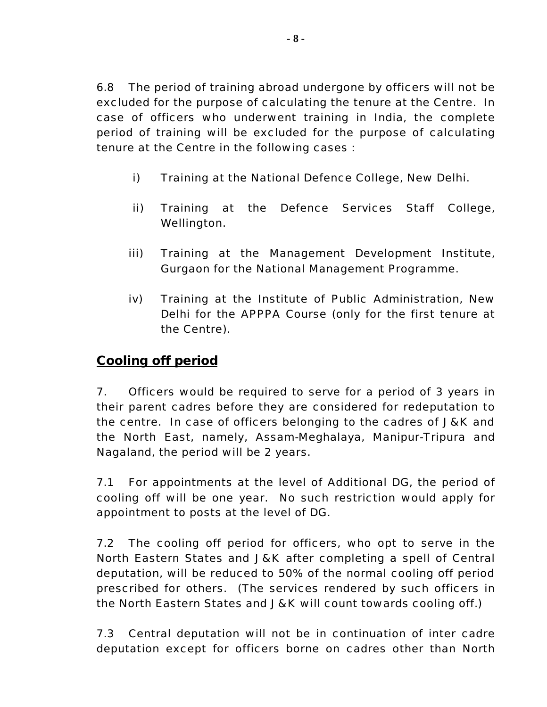6.8 The period of training abroad undergone by officers will not be excluded for the purpose of calculating the tenure at the Centre. In case of officers who underwent training in India, the complete period of training will be excluded for the purpose of calculating tenure at the Centre in the following cases :

- i) Training at the National Defence College, New Delhi.
- ii) Training at the Defence Services Staff College, Wellington.
- iii) Training at the Management Development Institute, Gurgaon for the National Management Programme.
- iv) Training at the Institute of Public Administration, New Delhi for the APPPA Course (only for the first tenure at the Centre).

## *Cooling off period*

7. Officers would be required to serve for a period of 3 years in their parent cadres before they are considered for redeputation to the centre. In case of officers belonging to the cadres of J&K and the North East, namely, Assam-Meghalaya, Manipur-Tripura and Nagaland, the period will be 2 years.

7.1 For appointments at the level of Additional DG, the period of cooling off will be one year. No such restriction would apply for appointment to posts at the level of DG.

7.2 The cooling off period for officers, who opt to serve in the North Eastern States and J&K after completing a spell of Central deputation, will be reduced to 50% of the normal cooling off period prescribed for others. (The services rendered by such officers in the North Eastern States and J&K will count towards cooling off.)

7.3 Central deputation will not be in continuation of inter cadre deputation except for officers borne on cadres other than North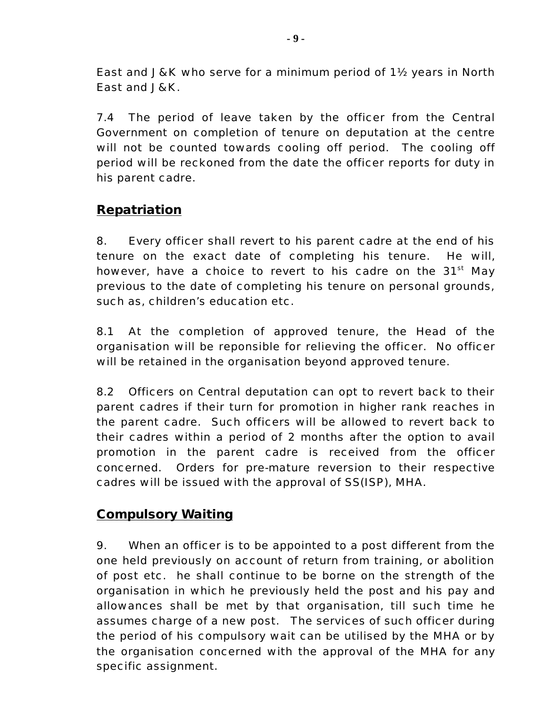East and J&K who serve for a minimum period of 1½ years in North East and J&K.

7.4 The period of leave taken by the officer from the Central Government on completion of tenure on deputation at the centre will not be counted towards cooling off period. The cooling off period will be reckoned from the date the officer reports for duty in his parent cadre.

## *Repatriation*

8. Every officer shall revert to his parent cadre at the end of his tenure on the exact date of completing his tenure. He will, however, have a choice to revert to his cadre on the  $31<sup>st</sup>$  May previous to the date of completing his tenure on personal grounds, such as, children's education etc.

8.1 At the completion of approved tenure, the Head of the organisation will be reponsible for relieving the officer. No officer will be retained in the organisation beyond approved tenure.

8.2 Officers on Central deputation can opt to revert back to their parent cadres if their turn for promotion in higher rank reaches in the parent cadre. Such officers will be allowed to revert back to their cadres within a period of 2 months after the option to avail promotion in the parent cadre is received from the officer concerned. Orders for pre-mature reversion to their respective cadres will be issued with the approval of SS(ISP), MHA.

### *Compulsory Waiting*

9. When an officer is to be appointed to a post different from the one held previously on account of return from training, or abolition of post etc. he shall continue to be borne on the strength of the organisation in which he previously held the post and his pay and allowances shall be met by that organisation, till such time he assumes charge of a new post. The services of such officer during the period of his compulsory wait can be utilised by the MHA or by the organisation concerned with the approval of the MHA for any specific assignment.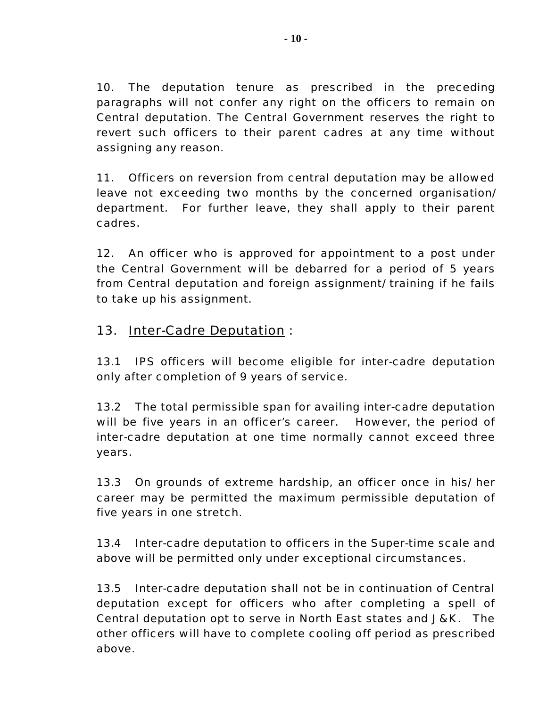10. The deputation tenure as prescribed in the preceding paragraphs will not confer any right on the officers to remain on Central deputation. The Central Government reserves the right to revert such officers to their parent cadres at any time without assigning any reason.

11. Officers on reversion from central deputation may be allowed leave not exceeding two months by the concerned organisation/ department. For further leave, they shall apply to their parent cadres.

12. An officer who is approved for appointment to a post under the Central Government will be debarred for a period of 5 years from Central deputation and foreign assignment/ training if he fails to take up his assignment.

## *13. Inter-Cadre Deputation :*

13.1 IPS officers will become eligible for inter-cadre deputation only after completion of 9 years of service.

13.2 The total permissible span for availing inter-cadre deputation will be five years in an officer's career. However, the period of inter-cadre deputation at one time normally cannot exceed three years.

13.3 On grounds of extreme hardship, an officer once in his/ her career may be permitted the maximum permissible deputation of five years in one stretch.

13.4 Inter-cadre deputation to officers in the Super-time scale and above will be permitted only under exceptional circumstances.

13.5 Inter-cadre deputation shall not be in continuation of Central deputation except for officers who after completing a spell of Central deputation opt to serve in North East states and J&K. The other officers will have to complete cooling off period as prescribed above.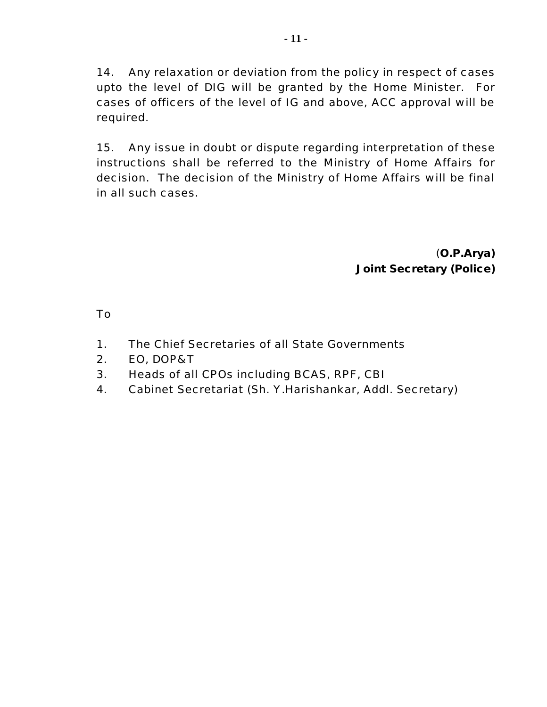14. Any relaxation or deviation from the policy in respect of cases upto the level of DIG will be granted by the Home Minister. For cases of officers of the level of IG and above, ACC approval will be required.

15. Any issue in doubt or dispute regarding interpretation of these instructions shall be referred to the Ministry of Home Affairs for decision. The decision of the Ministry of Home Affairs will be final in all such cases.

#### (**O.P.Arya) Joint Secretary (Police)**

To

- 1. The Chief Secretaries of all State Governments
- 2. EO, DOP&T
- 3. Heads of all CPOs including BCAS, RPF, CBI
- 4. Cabinet Secretariat (Sh. Y.Harishankar, Addl. Secretary)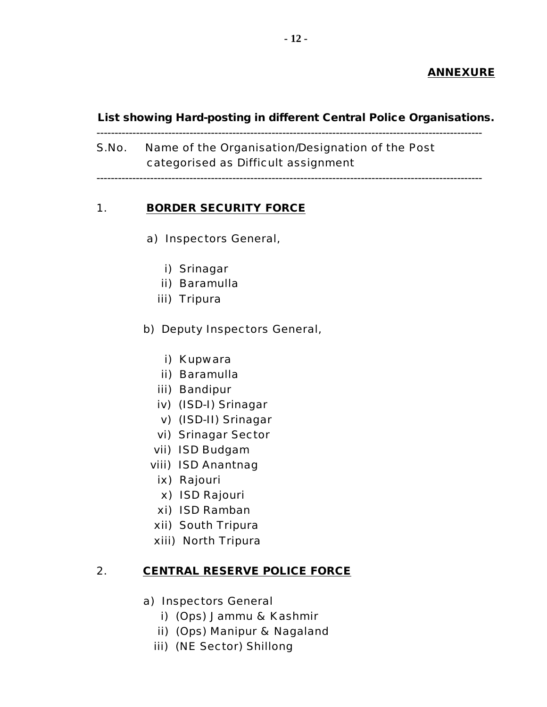#### **ANNEXURE**

**List showing Hard-posting in different Central Police Organisations.**

------------------------------------------------------------------------------------------------------------ S.No. Name of the Organisation/Designation of the Post

categorised as Difficult assignment

------------------------------------------------------------------------------------------------------------

### 1. **BORDER SECURITY FORCE**

- a) Inspectors General,
	- i) Srinagar
	- ii) Baramulla
	- iii) Tripura
- b) Deputy Inspectors General,
	- i) Kupwara
	- ii) Baramulla
	- iii) Bandipur
	- iv) (ISD-I) Srinagar
	- v) (ISD-II) Srinagar
	- vi) Srinagar Sector
	- vii) ISD Budgam
	- viii) ISD Anantnag
		- ix) Rajouri
		- x) ISD Rajouri
		- xi) ISD Ramban
	- xii) South Tripura
	- xiii) North Tripura

#### 2. **CENTRAL RESERVE POLICE FORCE**

- a) Inspectors General
	- i) (Ops) Jammu & Kashmir
	- ii) (Ops) Manipur & Nagaland
	- iii) (NE Sector) Shillong